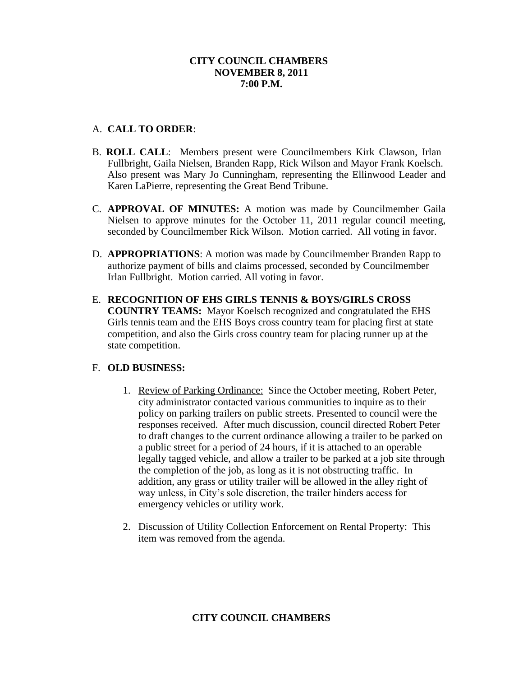## **CITY COUNCIL CHAMBERS NOVEMBER 8, 2011 7:00 P.M.**

## A. **CALL TO ORDER**:

- B. **ROLL CALL**: Members present were Councilmembers Kirk Clawson, Irlan Fullbright, Gaila Nielsen, Branden Rapp, Rick Wilson and Mayor Frank Koelsch. Also present was Mary Jo Cunningham, representing the Ellinwood Leader and Karen LaPierre, representing the Great Bend Tribune.
- C. **APPROVAL OF MINUTES:** A motion was made by Councilmember Gaila Nielsen to approve minutes for the October 11, 2011 regular council meeting, seconded by Councilmember Rick Wilson. Motion carried. All voting in favor.
- D. **APPROPRIATIONS**: A motion was made by Councilmember Branden Rapp to authorize payment of bills and claims processed, seconded by Councilmember Irlan Fullbright. Motion carried. All voting in favor.
- E. **RECOGNITION OF EHS GIRLS TENNIS & BOYS/GIRLS CROSS COUNTRY TEAMS:** Mayor Koelsch recognized and congratulated the EHS Girls tennis team and the EHS Boys cross country team for placing first at state competition, and also the Girls cross country team for placing runner up at the state competition.

# F. **OLD BUSINESS:**

- 1. Review of Parking Ordinance: Since the October meeting, Robert Peter, city administrator contacted various communities to inquire as to their policy on parking trailers on public streets. Presented to council were the responses received. After much discussion, council directed Robert Peter to draft changes to the current ordinance allowing a trailer to be parked on a public street for a period of 24 hours, if it is attached to an operable legally tagged vehicle, and allow a trailer to be parked at a job site through the completion of the job, as long as it is not obstructing traffic. In addition, any grass or utility trailer will be allowed in the alley right of way unless, in City's sole discretion, the trailer hinders access for emergency vehicles or utility work.
- 2. Discussion of Utility Collection Enforcement on Rental Property: This item was removed from the agenda.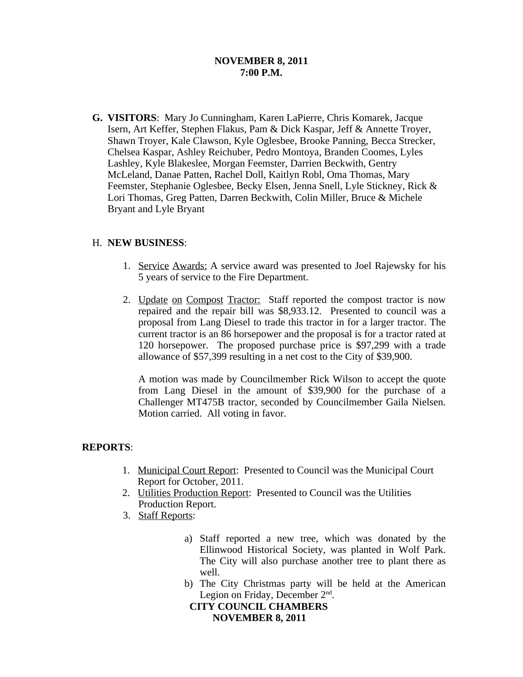### **NOVEMBER 8, 2011 7:00 P.M.**

**G. VISITORS**: Mary Jo Cunningham, Karen LaPierre, Chris Komarek, Jacque Isern, Art Keffer, Stephen Flakus, Pam & Dick Kaspar, Jeff & Annette Troyer, Shawn Troyer, Kale Clawson, Kyle Oglesbee, Brooke Panning, Becca Strecker, Chelsea Kaspar, Ashley Reichuber, Pedro Montoya, Branden Coomes, Lyles Lashley, Kyle Blakeslee, Morgan Feemster, Darrien Beckwith, Gentry McLeland, Danae Patten, Rachel Doll, Kaitlyn Robl, Oma Thomas, Mary Feemster, Stephanie Oglesbee, Becky Elsen, Jenna Snell, Lyle Stickney, Rick & Lori Thomas, Greg Patten, Darren Beckwith, Colin Miller, Bruce & Michele Bryant and Lyle Bryant

## H. **NEW BUSINESS**:

- 1. Service Awards: A service award was presented to Joel Rajewsky for his 5 years of service to the Fire Department.
- 2. Update on Compost Tractor: Staff reported the compost tractor is now repaired and the repair bill was \$8,933.12. Presented to council was a proposal from Lang Diesel to trade this tractor in for a larger tractor. The current tractor is an 86 horsepower and the proposal is for a tractor rated at 120 horsepower. The proposed purchase price is \$97,299 with a trade allowance of \$57,399 resulting in a net cost to the City of \$39,900.

A motion was made by Councilmember Rick Wilson to accept the quote from Lang Diesel in the amount of \$39,900 for the purchase of a Challenger MT475B tractor, seconded by Councilmember Gaila Nielsen. Motion carried. All voting in favor.

#### **REPORTS**:

- 1. Municipal Court Report: Presented to Council was the Municipal Court Report for October, 2011.
- 2. Utilities Production Report: Presented to Council was the Utilities Production Report.
- 3. Staff Reports:
	- a) Staff reported a new tree, which was donated by the Ellinwood Historical Society, was planted in Wolf Park. The City will also purchase another tree to plant there as well.
	- b) The City Christmas party will be held at the American Legion on Friday, December 2<sup>nd</sup>.

 **CITY COUNCIL CHAMBERS NOVEMBER 8, 2011**